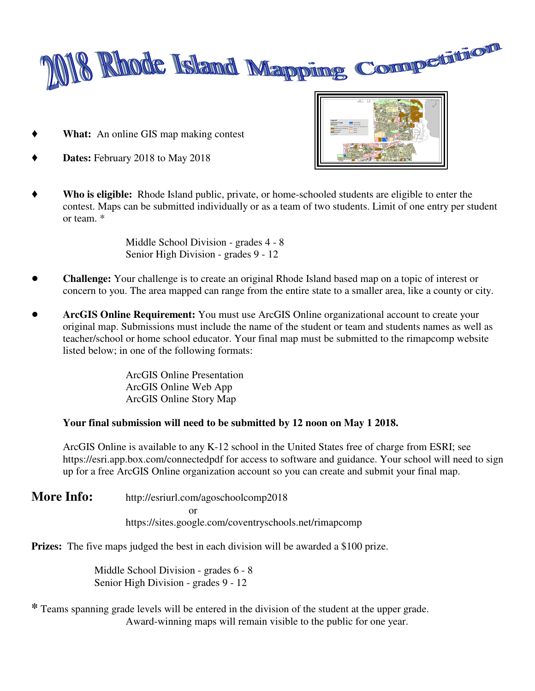

' **What:** An online GIS map making contest



- Dates: February 2018 to May 2018
- ' **Who is eligible:** Rhode Island public, private, or home-schooled students are eligible to enter the contest. Maps can be submitted individually or as a team of two students. Limit of one entry per student or team. \*

Middle School Division - grades 4 - 8 Senior High Division - grades 9 - 12

- ! **Challenge:** Your challenge is to create an original Rhode Island based map on a topic of interest or concern to you. The area mapped can range from the entire state to a smaller area, like a county or city.
- **ArcGIS Online Requirement:** You must use ArcGIS Online organizational account to create your original map. Submissions must include the name of the student or team and students names as well as teacher/school or home school educator. Your final map must be submitted to the rimapcomp website listed below; in one of the following formats:

ArcGIS Online Presentation ArcGIS Online Web App ArcGIS Online Story Map

#### **Your final submission will need to be submitted by 12 noon on May 1 2018.**

ArcGIS Online is available to any K-12 school in the United States free of charge from ESRI; see https://esri.app.box.com/connectedpdf for access to software and guidance. Your school will need to sign up for a free ArcGIS Online organization account so you can create and submit your final map.

**More Info:** http://esriurl.com/agoschoolcomp2018 or https://sites.google.com/coventryschools.net/rimapcomp

**Prizes:** The five maps judged the best in each division will be awarded a \$100 prize.

Middle School Division - grades 6 - 8 Senior High Division - grades 9 - 12

**\*** Teams spanning grade levels will be entered in the division of the student at the upper grade. Award-winning maps will remain visible to the public for one year.